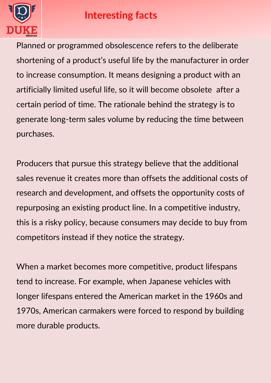

## **Interesting facts**

Planned or programmed obsolescence refers to the deliberate shortening of a product's useful life by the manufacturer in order to increase consumption. It means designing a product with an artificially limited useful life, so it will become obsolete after a certain period of time. The rationale behind the strategy is to generate long-term sales volume by reducing the time between purchases.

Producers that pursue this strategy believe that the additional sales revenue it creates more than offsets the additional costs of research and development, and offsets the opportunity costs of repurposing an existing product line. In a competitive industry, this is a risky policy, because consumers may decide to buy from competitors instead if they notice the strategy.

When a market becomes more competitive, product lifespans tend to increase. For example, when Japanese vehicles with longer lifespans entered the American market in the 1960s and 1970s, American carmakers were forced to respond by building more durable products.